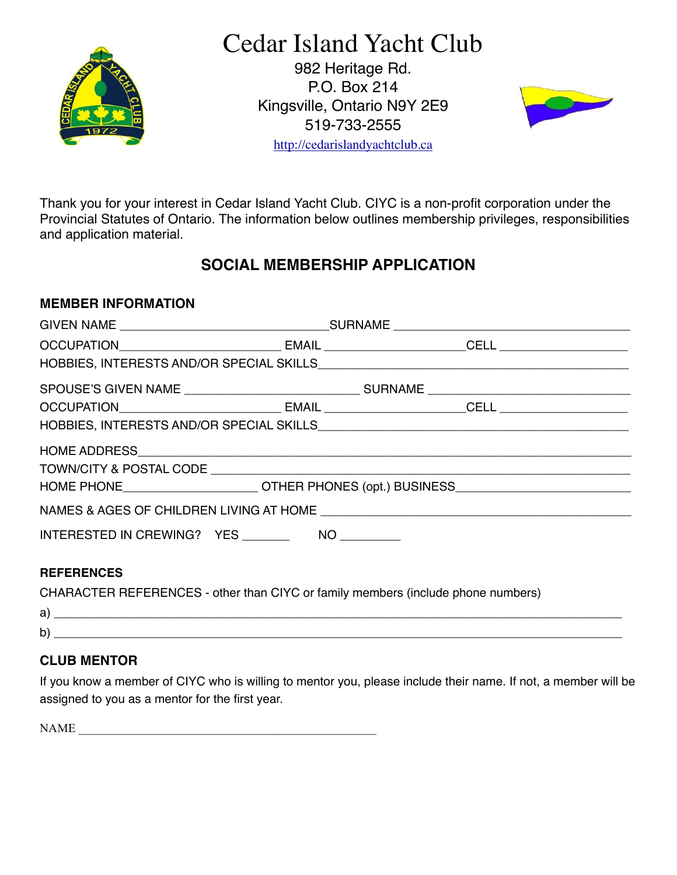

Cedar Island Yacht Club

982 Heritage Rd. P.O. Box 214 Kingsville, Ontario N9Y 2E9 519-733-2555



<http://cedarislandyachtclub.ca>

Thank you for your interest in Cedar Island Yacht Club. CIYC is a non-profit corporation under the Provincial Statutes of Ontario. The information below outlines membership privileges, responsibilities and application material.

# **SOCIAL MEMBERSHIP APPLICATION**

#### **MEMBER INFORMATION**

| <b>REFERENCES</b>                                                                |  |  |  |  |
|----------------------------------------------------------------------------------|--|--|--|--|
| CHARACTER REFERENCES - other than CIYC or family members (include phone numbers) |  |  |  |  |

| - |  |
|---|--|
| - |  |

## **CLUB MENTOR**

If you know a member of CIYC who is willing to mentor you, please include their name. If not, a member will be assigned to you as a mentor for the first year.

NAME  $\Box$